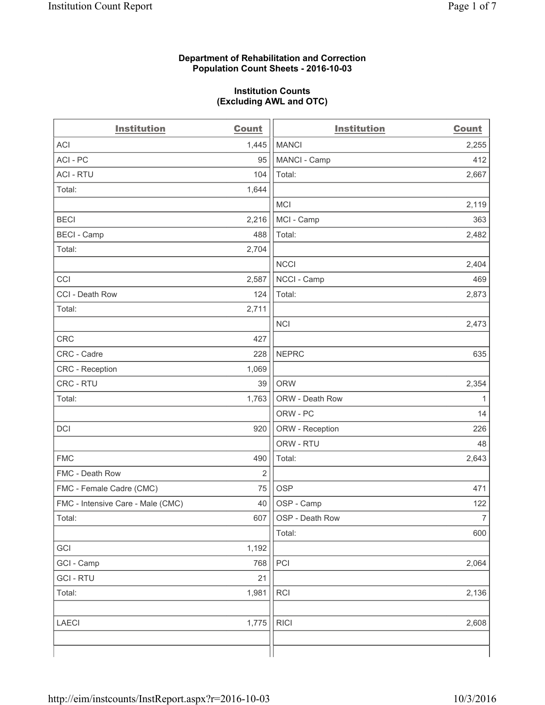#### **Department of Rehabilitation and Correction Population Count Sheets - 2016-10-03**

#### **Institution Counts (Excluding AWL and OTC)**

| <b>Institution</b>                | <b>Count</b>   | <b>Institution</b> | <b>Count</b>   |
|-----------------------------------|----------------|--------------------|----------------|
| <b>ACI</b>                        | 1,445          | <b>MANCI</b>       | 2,255          |
| ACI-PC                            | 95             | MANCI - Camp       | 412            |
| <b>ACI - RTU</b>                  | 104            | Total:             | 2,667          |
| Total:                            | 1,644          |                    |                |
|                                   |                | <b>MCI</b>         | 2,119          |
| <b>BECI</b>                       | 2,216          | MCI - Camp         | 363            |
| <b>BECI</b> - Camp                | 488            | Total:             | 2,482          |
| Total:                            | 2,704          |                    |                |
|                                   |                | <b>NCCI</b>        | 2,404          |
| CCI                               | 2,587          | NCCI - Camp        | 469            |
| CCI - Death Row                   | 124            | Total:             | 2,873          |
| Total:                            | 2,711          |                    |                |
|                                   |                | <b>NCI</b>         | 2,473          |
| <b>CRC</b>                        | 427            |                    |                |
| CRC - Cadre                       | 228            | <b>NEPRC</b>       | 635            |
| CRC - Reception                   | 1,069          |                    |                |
| CRC - RTU                         | 39             | <b>ORW</b>         | 2,354          |
| Total:                            | 1,763          | ORW - Death Row    | $\mathbf{1}$   |
|                                   |                | ORW - PC           | 14             |
| DCI                               | 920            | ORW - Reception    | 226            |
|                                   |                | ORW - RTU          | 48             |
| <b>FMC</b>                        | 490            | Total:             | 2,643          |
| FMC - Death Row                   | $\overline{2}$ |                    |                |
| FMC - Female Cadre (CMC)          | 75             | <b>OSP</b>         | 471            |
| FMC - Intensive Care - Male (CMC) | 40             | OSP - Camp         | 122            |
| Total:                            | 607            | OSP - Death Row    | 7 <sup>1</sup> |
|                                   |                | Total:             | 600            |
| GCI                               | 1,192          |                    |                |
| GCI - Camp                        | 768            | PCI                | 2,064          |
| <b>GCI - RTU</b>                  | 21             |                    |                |
| Total:                            | 1,981          | RCI                | 2,136          |
|                                   |                |                    |                |
| <b>LAECI</b>                      | 1,775          | <b>RICI</b>        | 2,608          |
|                                   |                |                    |                |
|                                   |                |                    |                |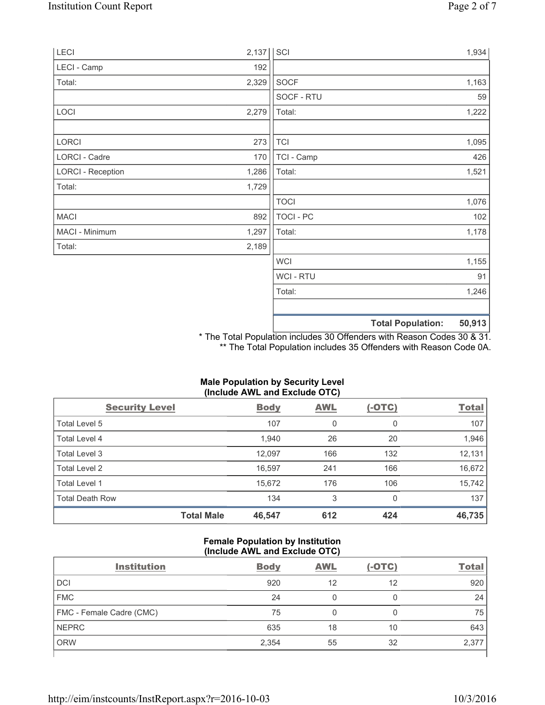| LECI                     | 2,137 | SCI              |                          | 1,934  |
|--------------------------|-------|------------------|--------------------------|--------|
| LECI - Camp              | 192   |                  |                          |        |
| Total:                   | 2,329 | SOCF             |                          | 1,163  |
|                          |       | SOCF - RTU       |                          | 59     |
| LOCI                     | 2,279 | Total:           |                          | 1,222  |
| LORCI                    | 273   | <b>TCI</b>       |                          | 1,095  |
| LORCI - Cadre            | 170   | TCI - Camp       |                          | 426    |
| <b>LORCI - Reception</b> | 1,286 | Total:           |                          | 1,521  |
| Total:                   | 1,729 |                  |                          |        |
|                          |       | <b>TOCI</b>      |                          | 1,076  |
| <b>MACI</b>              | 892   | <b>TOCI - PC</b> |                          | 102    |
| MACI - Minimum           | 1,297 | Total:           |                          | 1,178  |
| Total:                   | 2,189 |                  |                          |        |
|                          |       | <b>WCI</b>       |                          | 1,155  |
|                          |       | <b>WCI-RTU</b>   |                          | 91     |
|                          |       | Total:           |                          | 1,246  |
|                          |       |                  | <b>Total Population:</b> | 50,913 |

\* The Total Population includes 30 Offenders with Reason Codes 30 & 31. \*\* The Total Population includes 35 Offenders with Reason Code 0A.

| (Include AWL and Exclude OTC) |                   |             |            |               |              |  |
|-------------------------------|-------------------|-------------|------------|---------------|--------------|--|
| <b>Security Level</b>         |                   | <b>Body</b> | <b>AWL</b> | <u>(-OTC)</u> | <b>Total</b> |  |
| Total Level 5                 |                   | 107         | 0          | 0             | 107          |  |
| Total Level 4                 |                   | 1,940       | 26         | 20            | 1,946        |  |
| Total Level 3                 |                   | 12,097      | 166        | 132           | 12,131       |  |
| <b>Total Level 2</b>          |                   | 16,597      | 241        | 166           | 16,672       |  |
| Total Level 1                 |                   | 15,672      | 176        | 106           | 15,742       |  |
| <b>Total Death Row</b>        |                   | 134         | 3          | 0             | 137          |  |
|                               | <b>Total Male</b> | 46,547      | 612        | 424           | 46,735       |  |

## **Male Population by Security Level (Include AWL and Exclude OTC)**

## **Female Population by Institution (Include AWL and Exclude OTC)**

| <b>Institution</b>       | <b>Body</b> | <b>AWL</b> | $(-OTC)$ | <b>Total</b> |
|--------------------------|-------------|------------|----------|--------------|
| <b>DCI</b>               | 920         | 12         | 12       | 920          |
| <b>FMC</b>               | 24          |            |          | 24           |
| FMC - Female Cadre (CMC) | 75          |            | 0        | 75           |
| <b>NEPRC</b>             | 635         | 18         | 10       | 643          |
| <b>ORW</b>               | 2,354       | 55         | 32       | 2,377        |
|                          |             |            |          |              |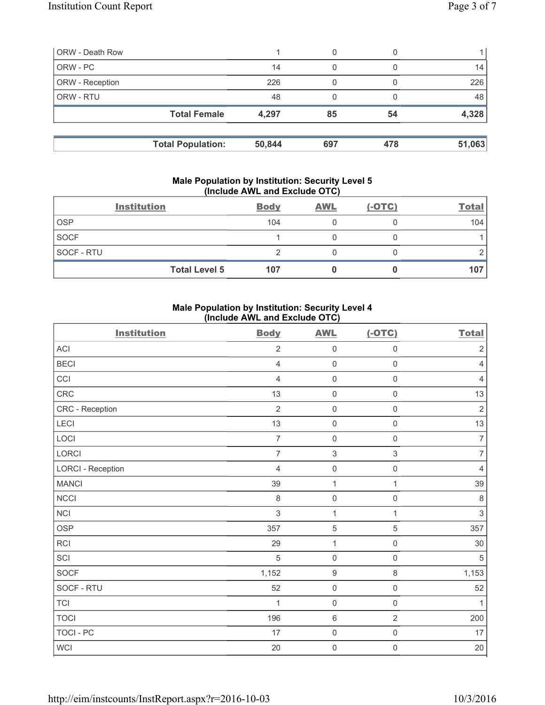| <b>ORW - Death Row</b> |                          |        | 0   |     |                 |
|------------------------|--------------------------|--------|-----|-----|-----------------|
| ORW - PC               |                          | 14     | 0   |     | 14 <sub>1</sub> |
| ORW - Reception        |                          | 226    |     |     | 226             |
| ORW - RTU              |                          | 48     | 0   |     | 48              |
|                        | <b>Total Female</b>      | 4,297  | 85  | 54  | 4,328           |
|                        | <b>Total Population:</b> | 50,844 | 697 | 478 | 51,063          |

#### **Male Population by Institution: Security Level 5 (Include AWL and Exclude OTC)**

|                   | <b>Institution</b>   | <b>Body</b> | <b>AWL</b> | $(-OTC)$ | <b>Total</b> |
|-------------------|----------------------|-------------|------------|----------|--------------|
| <b>OSP</b>        |                      | 104         |            |          | 104          |
| <b>SOCF</b>       |                      |             |            |          |              |
| <b>SOCF - RTU</b> |                      |             |            |          |              |
|                   | <b>Total Level 5</b> | 107         |            |          | 107          |

# **Male Population by Institution: Security Level 4 (Include AWL and Exclude OTC)**

| <b>Institution</b>       | <b>Body</b>    | <b>AWL</b>                | $(-OTC)$                  | <b>Total</b>   |
|--------------------------|----------------|---------------------------|---------------------------|----------------|
| <b>ACI</b>               | $\overline{2}$ | $\mathsf{O}\xspace$       | $\mathsf{O}\xspace$       | $\sqrt{2}$     |
| <b>BECI</b>              | $\overline{4}$ | $\mathsf{O}\xspace$       | $\mathsf{O}\xspace$       | $\overline{4}$ |
| CCI                      | $\overline{4}$ | $\mathsf{O}\xspace$       | $\mathsf 0$               | $\overline{4}$ |
| CRC                      | 13             | $\mathsf{O}\xspace$       | $\mathsf{O}\xspace$       | 13             |
| CRC - Reception          | $\overline{2}$ | $\mathsf{O}\xspace$       | $\mathsf{O}\xspace$       | $\sqrt{2}$     |
| LECI                     | 13             | $\mathsf{O}\xspace$       | $\mathsf 0$               | 13             |
| LOCI                     | $\overline{7}$ | $\mathsf{O}\xspace$       | $\mathsf{O}\xspace$       | $\overline{7}$ |
| LORCI                    | $\overline{7}$ | $\ensuremath{\mathsf{3}}$ | $\ensuremath{\mathsf{3}}$ | $\overline{7}$ |
| <b>LORCI - Reception</b> | $\overline{4}$ | $\mathbf 0$               | $\mathsf{O}\xspace$       | $\overline{4}$ |
| <b>MANCI</b>             | 39             | $\mathbf{1}$              | $\mathbf{1}$              | 39             |
| NCCI                     | $\,8\,$        | $\mathsf{O}\xspace$       | $\mathsf{O}\xspace$       | $\,8\,$        |
| <b>NCI</b>               | $\mathfrak{S}$ | $\mathbf{1}$              | $\mathbf{1}$              | $\mathsf 3$    |
| <b>OSP</b>               | 357            | $\,$ 5 $\,$               | 5                         | 357            |
| <b>RCI</b>               | 29             | $\mathbf{1}$              | $\mathsf{O}\xspace$       | 30             |
| SCI                      | 5              | $\mathsf{O}\xspace$       | $\mathbf 0$               | 5              |
| <b>SOCF</b>              | 1,152          | $\boldsymbol{9}$          | 8                         | 1,153          |
| SOCF - RTU               | 52             | $\mathsf{O}\xspace$       | $\mathsf{O}\xspace$       | 52             |
| <b>TCI</b>               | 1              | $\mathsf{O}\xspace$       | $\mathsf{O}\xspace$       | 1              |
| <b>TOCI</b>              | 196            | $\,6\,$                   | $\overline{2}$            | 200            |
| <b>TOCI - PC</b>         | 17             | $\mathsf{O}\xspace$       | $\mathsf{O}\xspace$       | 17             |
| WCI                      | 20             | $\mathsf{O}\xspace$       | $\mathsf{O}\xspace$       | $20\,$         |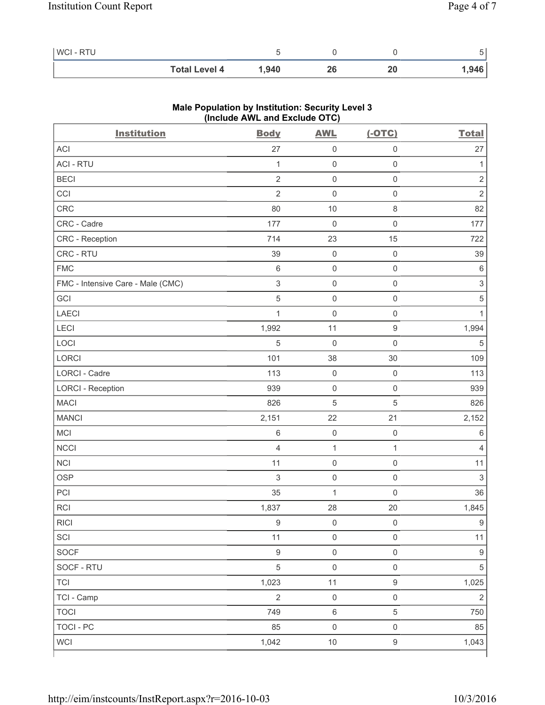| WCI - RTU |                      |       |    |       |
|-----------|----------------------|-------|----|-------|
|           | <b>Total Level 4</b> | 1.940 | ∠⊾ | .,946 |

| <b>Institution</b>                | $(III$ CIUDE AVE and EXCIUDE $O(O)$<br><b>Body</b> | <b>AWL</b>          | $(-OTC)$            | <b>Total</b>              |
|-----------------------------------|----------------------------------------------------|---------------------|---------------------|---------------------------|
| ACI                               | 27                                                 | 0                   | $\mathsf 0$         | 27                        |
| <b>ACI - RTU</b>                  | $\mathbf{1}$                                       | $\mathsf 0$         | $\mathsf 0$         | 1                         |
| <b>BECI</b>                       | $\overline{2}$                                     | $\mathsf{O}\xspace$ | $\mathsf 0$         | $\sqrt{2}$                |
| CCI                               | $\overline{2}$                                     | $\mathsf{O}\xspace$ | $\mathsf 0$         | $\overline{2}$            |
| CRC                               | 80                                                 | 10                  | $\,8\,$             | 82                        |
| CRC - Cadre                       | 177                                                | 0                   | $\mathsf 0$         | 177                       |
| CRC - Reception                   | 714                                                | 23                  | 15                  | 722                       |
| CRC - RTU                         | 39                                                 | $\mathsf{O}\xspace$ | $\mathsf 0$         | 39                        |
| <b>FMC</b>                        | $\,6\,$                                            | $\mathsf 0$         | $\mathsf 0$         | $\,6\,$                   |
| FMC - Intensive Care - Male (CMC) | $\sqrt{3}$                                         | $\mathsf{O}\xspace$ | $\mathsf 0$         | $\ensuremath{\mathsf{3}}$ |
| GCI                               | $\overline{5}$                                     | 0                   | $\mathsf 0$         | $\sqrt{5}$                |
| LAECI                             | $\mathbf{1}$                                       | $\mathsf{O}\xspace$ | $\mathsf 0$         | 1                         |
| LECI                              | 1,992                                              | 11                  | $\mathsf g$         | 1,994                     |
| LOCI                              | $\sqrt{5}$                                         | $\mathsf{O}\xspace$ | $\mathsf 0$         | $\sqrt{5}$                |
| LORCI                             | 101                                                | 38                  | 30                  | 109                       |
| LORCI - Cadre                     | 113                                                | $\mathsf 0$         | $\mathsf 0$         | 113                       |
| <b>LORCI - Reception</b>          | 939                                                | $\mathsf{O}\xspace$ | $\mathsf 0$         | 939                       |
| <b>MACI</b>                       | 826                                                | 5                   | 5                   | 826                       |
| <b>MANCI</b>                      | 2,151                                              | 22                  | 21                  | 2,152                     |
| MCI                               | $\,6$                                              | $\mathsf{O}\xspace$ | $\mathsf 0$         | $\,6\,$                   |
| <b>NCCI</b>                       | $\overline{4}$                                     | 1                   | $\mathbf{1}$        | $\overline{4}$            |
| NCI                               | 11                                                 | $\mathsf{O}\xspace$ | $\mathsf 0$         | 11                        |
| <b>OSP</b>                        | $\mathfrak{S}$                                     | $\mathsf{O}\xspace$ | $\mathsf 0$         | $\sqrt{3}$                |
| PCI                               | 35                                                 | $\mathbf{1}$        | $\mathsf 0$         | 36                        |
| <b>RCI</b>                        | 1,837                                              | 28                  | 20                  | 1,845                     |
| <b>RICI</b>                       | $\boldsymbol{9}$                                   | $\mathsf{O}\xspace$ | $\mathsf 0$         | $\boldsymbol{9}$          |
| SCI                               | 11                                                 | $\mathsf 0$         | $\mathsf{O}\xspace$ | 11                        |
| <b>SOCF</b>                       | $\mathsf g$                                        | $\mathsf{O}\xspace$ | $\mathsf{O}\xspace$ | $\boldsymbol{9}$          |
| SOCF - RTU                        | $\sqrt{5}$                                         | $\mathsf{O}\xspace$ | $\mathsf{O}\xspace$ | 5                         |
| <b>TCI</b>                        | 1,023                                              | 11                  | $\boldsymbol{9}$    | 1,025                     |
| TCI - Camp                        | $\overline{2}$                                     | $\mathsf{O}\xspace$ | $\mathsf{O}\xspace$ | $\sqrt{2}$                |
| <b>TOCI</b>                       | 749                                                | $\,6$               | 5                   | 750                       |
| <b>TOCI - PC</b>                  | 85                                                 | $\mathsf{O}\xspace$ | $\mathsf{O}\xspace$ | 85                        |
| <b>WCI</b>                        | 1,042                                              | $10$                | $\boldsymbol{9}$    | 1,043                     |

# **Male Population by Institution: Security Level 3 (Include AWL and Exclude OTC)**

ľ

٦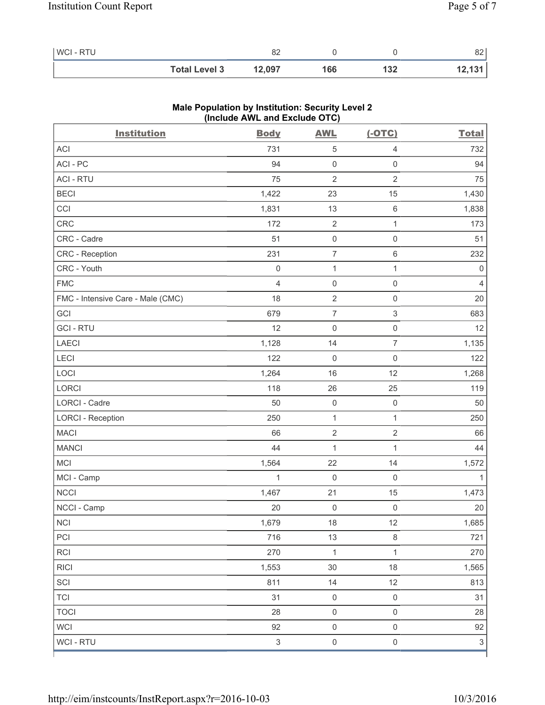| WCI - RTU |                      | oη<br>٥z |     |     | o o<br>o∠ |
|-----------|----------------------|----------|-----|-----|-----------|
|           | <b>Total Level 3</b> | 12,097   | 166 | 132 | 12,131    |

| <b>Institution</b>                | $($ melude $\overline{A}$ ive and exclude $\overline{O}$ iv $\overline{O}$<br><b>Body</b> | <b>AWL</b>          | $(-OTC)$                  | <b>Total</b>              |
|-----------------------------------|-------------------------------------------------------------------------------------------|---------------------|---------------------------|---------------------------|
| ACI                               | 731                                                                                       | 5                   | $\overline{4}$            | 732                       |
| ACI-PC                            | 94                                                                                        | $\mathsf{O}\xspace$ | $\mathsf{O}\xspace$       | 94                        |
| <b>ACI - RTU</b>                  | 75                                                                                        | $\overline{2}$      | $\overline{2}$            | 75                        |
| <b>BECI</b>                       | 1,422                                                                                     | 23                  | 15                        | 1,430                     |
| CCI                               | 1,831                                                                                     | 13                  | $\,6\,$                   | 1,838                     |
| <b>CRC</b>                        | 172                                                                                       | $\mathbf{2}$        | $\mathbf{1}$              | 173                       |
| CRC - Cadre                       | 51                                                                                        | $\mathsf{O}\xspace$ | $\mathsf{O}\xspace$       | 51                        |
| CRC - Reception                   | 231                                                                                       | $\overline{7}$      | $\,6\,$                   | 232                       |
| CRC - Youth                       | $\mathsf{O}\xspace$                                                                       | $\mathbf{1}$        | 1                         | $\mathsf{O}\xspace$       |
| <b>FMC</b>                        | $\overline{4}$                                                                            | $\mathsf{O}\xspace$ | $\mathsf{O}\xspace$       | $\overline{4}$            |
| FMC - Intensive Care - Male (CMC) | 18                                                                                        | $\overline{2}$      | $\mathsf{O}\xspace$       | 20                        |
| GCI                               | 679                                                                                       | $\overline{7}$      | $\ensuremath{\mathsf{3}}$ | 683                       |
| <b>GCI-RTU</b>                    | 12                                                                                        | $\mathsf 0$         | $\mathsf 0$               | 12                        |
| LAECI                             | 1,128                                                                                     | 14                  | $\overline{7}$            | 1,135                     |
| LECI                              | 122                                                                                       | $\mathsf{O}\xspace$ | $\mathsf 0$               | 122                       |
| LOCI                              | 1,264                                                                                     | 16                  | 12                        | 1,268                     |
| LORCI                             | 118                                                                                       | 26                  | 25                        | 119                       |
| LORCI - Cadre                     | 50                                                                                        | $\mathsf 0$         | $\mathsf{O}\xspace$       | 50                        |
| <b>LORCI - Reception</b>          | 250                                                                                       | $\mathbf{1}$        | $\mathbf{1}$              | 250                       |
| <b>MACI</b>                       | 66                                                                                        | $\sqrt{2}$          | $\sqrt{2}$                | 66                        |
| <b>MANCI</b>                      | 44                                                                                        | 1                   | 1                         | 44                        |
| MCI                               | 1,564                                                                                     | 22                  | 14                        | 1,572                     |
| MCI - Camp                        | $\mathbf{1}$                                                                              | $\mathsf{O}\xspace$ | $\mathsf 0$               | 1                         |
| <b>NCCI</b>                       | 1,467                                                                                     | 21                  | 15                        | 1,473                     |
| NCCI - Camp                       | 20                                                                                        | $\mathsf{O}\xspace$ | $\mathsf{O}\xspace$       | 20                        |
| NCI                               | 1,679                                                                                     | 18                  | 12                        | 1,685                     |
| PCI                               | 716                                                                                       | 13                  | $\,8\,$                   | 721                       |
| RCI                               | 270                                                                                       | $\mathbf{1}$        | $\mathbf{1}$              | 270                       |
| <b>RICI</b>                       | 1,553                                                                                     | 30                  | 18                        | 1,565                     |
| SCI                               | 811                                                                                       | 14                  | 12                        | 813                       |
| <b>TCI</b>                        | 31                                                                                        | $\mathsf{O}\xspace$ | $\mathsf 0$               | 31                        |
| <b>TOCI</b>                       | 28                                                                                        | $\mathsf{O}\xspace$ | $\mathsf 0$               | 28                        |
| <b>WCI</b>                        | 92                                                                                        | $\mathsf{O}\xspace$ | $\mathsf{O}\xspace$       | 92                        |
| WCI - RTU                         | $\mathsf 3$                                                                               | $\mathsf{O}\xspace$ | $\mathsf{O}\xspace$       | $\ensuremath{\mathsf{3}}$ |

### **Male Population by Institution: Security Level 2 (Include AWL and Exclude OTC)**

ľ

٦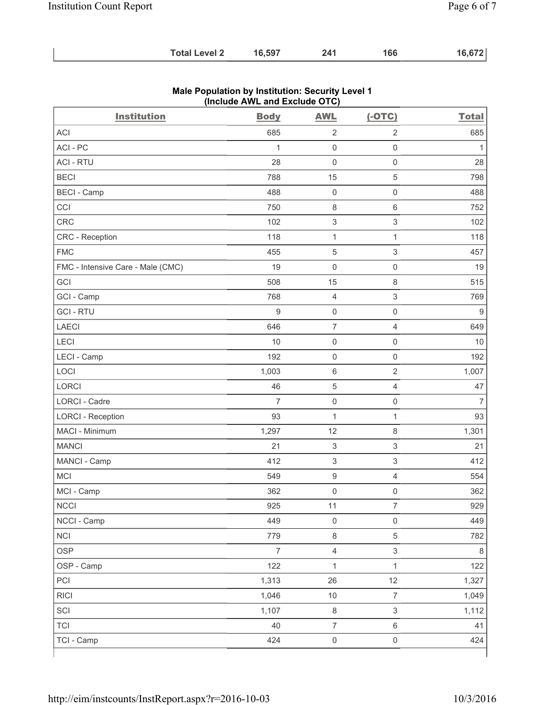| <b>Total Level 2</b> | 16,597 | 241 | 166 | 16,672 |
|----------------------|--------|-----|-----|--------|
|----------------------|--------|-----|-----|--------|

| <b>Institution</b>                | <b>Body</b>    | <b>AWL</b>                | $(-OTC)$                  | <b>Total</b>     |
|-----------------------------------|----------------|---------------------------|---------------------------|------------------|
| <b>ACI</b>                        | 685            | $\mathbf 2$               | $\sqrt{2}$                | 685              |
| ACI-PC                            | 1              | $\mathsf{O}\xspace$       | $\mathsf{O}\xspace$       | 1                |
| <b>ACI - RTU</b>                  | 28             | $\mathsf{O}\xspace$       | $\mathsf{O}\xspace$       | 28               |
| <b>BECI</b>                       | 788            | 15                        | 5                         | 798              |
| <b>BECI</b> - Camp                | 488            | $\mathbf 0$               | $\mathsf{O}\xspace$       | 488              |
| CCI                               | 750            | $\,8\,$                   | 6                         | 752              |
| <b>CRC</b>                        | 102            | $\ensuremath{\mathsf{3}}$ | $\ensuremath{\mathsf{3}}$ | 102              |
| CRC - Reception                   | 118            | $\mathbf{1}$              | $\mathbf{1}$              | 118              |
| <b>FMC</b>                        | 455            | 5                         | 3                         | 457              |
| FMC - Intensive Care - Male (CMC) | 19             | $\mathsf{O}\xspace$       | $\mathsf{O}\xspace$       | 19               |
| GCI                               | 508            | 15                        | $\,8\,$                   | 515              |
| GCI - Camp                        | 768            | $\overline{4}$            | $\ensuremath{\mathsf{3}}$ | 769              |
| <b>GCI-RTU</b>                    | 9              | $\mathsf{O}\xspace$       | $\mathsf 0$               | $\boldsymbol{9}$ |
| <b>LAECI</b>                      | 646            | $\overline{7}$            | 4                         | 649              |
| LECI                              | 10             | $\mathsf{O}\xspace$       | $\mathsf{O}\xspace$       | 10               |
| LECI - Camp                       | 192            | $\mathsf{O}\xspace$       | $\mathsf{O}\xspace$       | 192              |
| LOCI                              | 1,003          | $\,6\,$                   | $\sqrt{2}$                | 1,007            |
| <b>LORCI</b>                      | 46             | 5                         | 4                         | 47               |
| LORCI - Cadre                     | $\overline{7}$ | $\mathsf{O}\xspace$       | 0                         | $\overline{7}$   |
| <b>LORCI - Reception</b>          | 93             | $\mathbf 1$               | $\mathbf{1}$              | 93               |
| MACI - Minimum                    | 1,297          | 12                        | $\,8\,$                   | 1,301            |
| <b>MANCI</b>                      | 21             | $\ensuremath{\mathsf{3}}$ | $\ensuremath{\mathsf{3}}$ | 21               |
| MANCI - Camp                      | 412            | 3                         | $\mathsf 3$               | 412              |
| MCI                               | 549            | $\boldsymbol{9}$          | 4                         | 554              |
| MCI - Camp                        | 362            | $\mathsf{O}\xspace$       | $\mathsf{O}\xspace$       | 362              |
| <b>NCCI</b>                       | 925            | 11                        | 7                         | 929              |
| NCCI - Camp                       | 449            | $\mathsf 0$               | $\mathsf{O}\xspace$       | 449              |
| <b>NCI</b>                        | 779            | $\,8\,$                   | 5                         | 782              |
| <b>OSP</b>                        | $\overline{7}$ | $\overline{\mathbf{4}}$   | $\mathfrak{S}$            | $\,8\,$          |
| OSP - Camp                        | 122            | $\mathbf 1$               | $\mathbf{1}$              | 122              |
| PCI                               | 1,313          | 26                        | 12                        | 1,327            |
| <b>RICI</b>                       | 1,046          | $10$                      | $\boldsymbol{7}$          | 1,049            |
| SCI                               | 1,107          | $\,8\,$                   | $\mathfrak{S}$            | 1,112            |
| <b>TCI</b>                        | 40             | $\overline{7}$            | 6                         | 41               |
| TCI - Camp                        | 424            | $\mathsf{O}\xspace$       | $\mathsf{O}\xspace$       | 424              |

### **Male Population by Institution: Security Level 1 (Include AWL and Exclude OTC)**